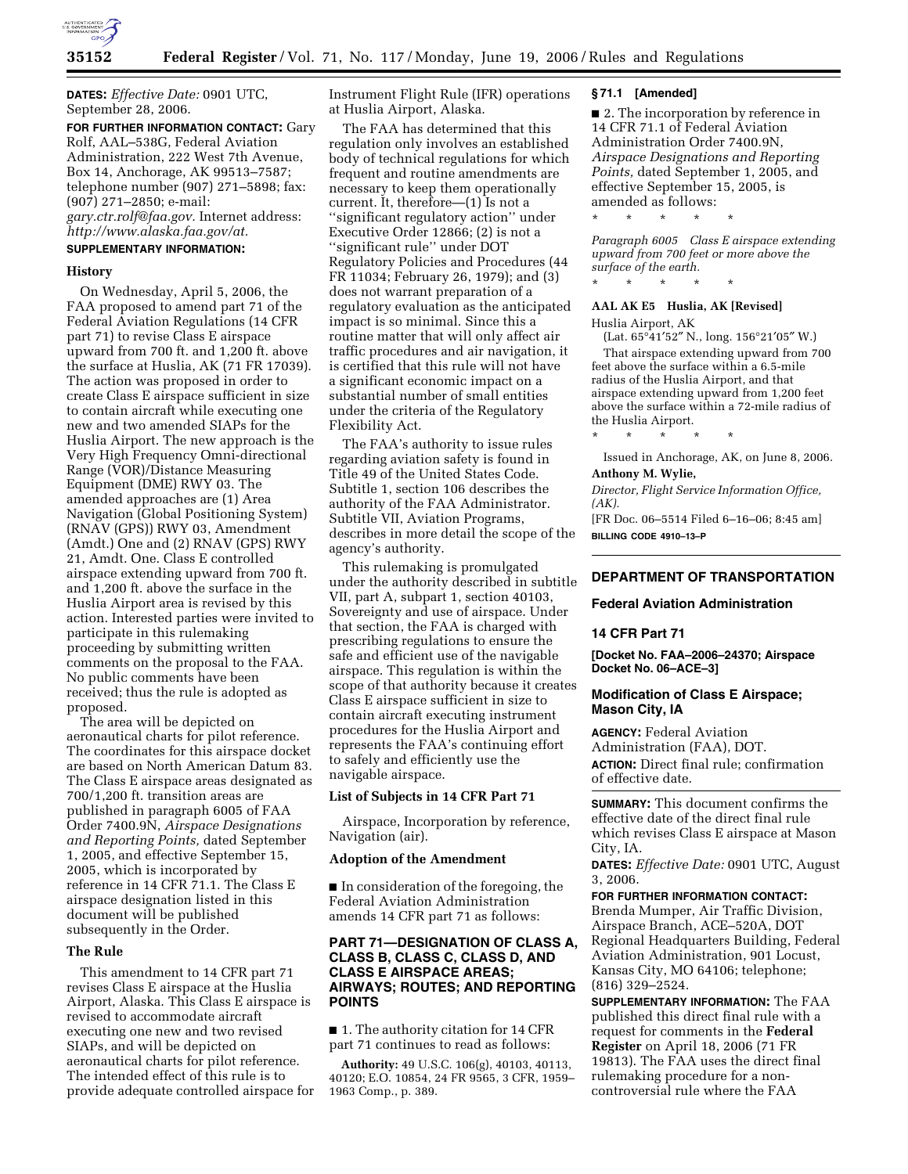

**DATES:** *Effective Date:* 0901 UTC, September 28, 2006.

**FOR FURTHER INFORMATION CONTACT:** Gary Rolf, AAL–538G, Federal Aviation Administration, 222 West 7th Avenue, Box 14, Anchorage, AK 99513–7587; telephone number (907) 271–5898; fax: (907) 271–2850; e-mail: *gary.ctr.rolf@faa.gov.* Internet address: *http://www.alaska.faa.gov/at.* 

#### **SUPPLEMENTARY INFORMATION:**

#### **History**

On Wednesday, April 5, 2006, the FAA proposed to amend part 71 of the Federal Aviation Regulations (14 CFR part 71) to revise Class E airspace upward from 700 ft. and 1,200 ft. above the surface at Huslia, AK (71 FR 17039). The action was proposed in order to create Class E airspace sufficient in size to contain aircraft while executing one new and two amended SIAPs for the Huslia Airport. The new approach is the Very High Frequency Omni-directional Range (VOR)/Distance Measuring Equipment (DME) RWY 03. The amended approaches are (1) Area Navigation (Global Positioning System) (RNAV (GPS)) RWY 03, Amendment (Amdt.) One and (2) RNAV (GPS) RWY 21, Amdt. One. Class E controlled airspace extending upward from 700 ft. and 1,200 ft. above the surface in the Huslia Airport area is revised by this action. Interested parties were invited to participate in this rulemaking proceeding by submitting written comments on the proposal to the FAA. No public comments have been received; thus the rule is adopted as proposed.

The area will be depicted on aeronautical charts for pilot reference. The coordinates for this airspace docket are based on North American Datum 83. The Class E airspace areas designated as 700/1,200 ft. transition areas are published in paragraph 6005 of FAA Order 7400.9N, *Airspace Designations and Reporting Points,* dated September 1, 2005, and effective September 15, 2005, which is incorporated by reference in 14 CFR 71.1. The Class E airspace designation listed in this document will be published subsequently in the Order.

## **The Rule**

This amendment to 14 CFR part 71 revises Class E airspace at the Huslia Airport, Alaska. This Class E airspace is revised to accommodate aircraft executing one new and two revised SIAPs, and will be depicted on aeronautical charts for pilot reference. The intended effect of this rule is to provide adequate controlled airspace for Instrument Flight Rule (IFR) operations at Huslia Airport, Alaska.

The FAA has determined that this regulation only involves an established body of technical regulations for which frequent and routine amendments are necessary to keep them operationally current. It, therefore—(1) Is not a ''significant regulatory action'' under Executive Order 12866; (2) is not a ''significant rule'' under DOT Regulatory Policies and Procedures (44 FR 11034; February 26, 1979); and (3) does not warrant preparation of a regulatory evaluation as the anticipated impact is so minimal. Since this a routine matter that will only affect air traffic procedures and air navigation, it is certified that this rule will not have a significant economic impact on a substantial number of small entities under the criteria of the Regulatory Flexibility Act.

The FAA's authority to issue rules regarding aviation safety is found in Title 49 of the United States Code. Subtitle 1, section 106 describes the authority of the FAA Administrator. Subtitle VII, Aviation Programs, describes in more detail the scope of the agency's authority.

This rulemaking is promulgated under the authority described in subtitle VII, part A, subpart 1, section 40103, Sovereignty and use of airspace. Under that section, the FAA is charged with prescribing regulations to ensure the safe and efficient use of the navigable airspace. This regulation is within the scope of that authority because it creates Class E airspace sufficient in size to contain aircraft executing instrument procedures for the Huslia Airport and represents the FAA's continuing effort to safely and efficiently use the navigable airspace.

#### **List of Subjects in 14 CFR Part 71**

Airspace, Incorporation by reference, Navigation (air).

#### **Adoption of the Amendment**

■ In consideration of the foregoing, the Federal Aviation Administration amends 14 CFR part 71 as follows:

# **PART 71—DESIGNATION OF CLASS A, CLASS B, CLASS C, CLASS D, AND CLASS E AIRSPACE AREAS; AIRWAYS; ROUTES; AND REPORTING POINTS**

■ 1. The authority citation for 14 CFR part 71 continues to read as follows:

**Authority:** 49 U.S.C. 106(g), 40103, 40113, 40120; E.O. 10854, 24 FR 9565, 3 CFR, 1959– 1963 Comp., p. 389.

#### **§ 71.1 [Amended]**

■ 2. The incorporation by reference in 14 CFR 71.1 of Federal Aviation Administration Order 7400.9N, *Airspace Designations and Reporting Points,* dated September 1, 2005, and effective September 15, 2005, is amended as follows:

*Paragraph 6005 Class E airspace extending upward from 700 feet or more above the surface of the earth.*  \* \* \* \* \*

#### **AAL AK E5 Huslia, AK [Revised]**

\* \* \* \* \*

Huslia Airport, AK

(Lat. 65°41′52″ N., long. 156°21′05″ W.) That airspace extending upward from 700 feet above the surface within a 6.5-mile radius of the Huslia Airport, and that airspace extending upward from 1,200 feet above the surface within a 72-mile radius of the Huslia Airport.

\* \* \* \* \*

Issued in Anchorage, AK, on June 8, 2006.

# **Anthony M. Wylie,**

*Director, Flight Service Information Office, (AK).* 

[FR Doc. 06–5514 Filed 6–16–06; 8:45 am] **BILLING CODE 4910–13–P** 

# **DEPARTMENT OF TRANSPORTATION**

## **Federal Aviation Administration**

#### **14 CFR Part 71**

**[Docket No. FAA–2006–24370; Airspace Docket No. 06–ACE–3]** 

## **Modification of Class E Airspace; Mason City, IA**

**AGENCY:** Federal Aviation Administration (FAA), DOT. **ACTION:** Direct final rule; confirmation of effective date.

**SUMMARY:** This document confirms the effective date of the direct final rule which revises Class E airspace at Mason City, IA.

**DATES:** *Effective Date:* 0901 UTC, August 3, 2006.

**FOR FURTHER INFORMATION CONTACT:**  Brenda Mumper, Air Traffic Division, Airspace Branch, ACE–520A, DOT Regional Headquarters Building, Federal Aviation Administration, 901 Locust, Kansas City, MO 64106; telephone; (816) 329–2524.

**SUPPLEMENTARY INFORMATION:** The FAA published this direct final rule with a request for comments in the **Federal Register** on April 18, 2006 (71 FR 19813). The FAA uses the direct final rulemaking procedure for a noncontroversial rule where the FAA